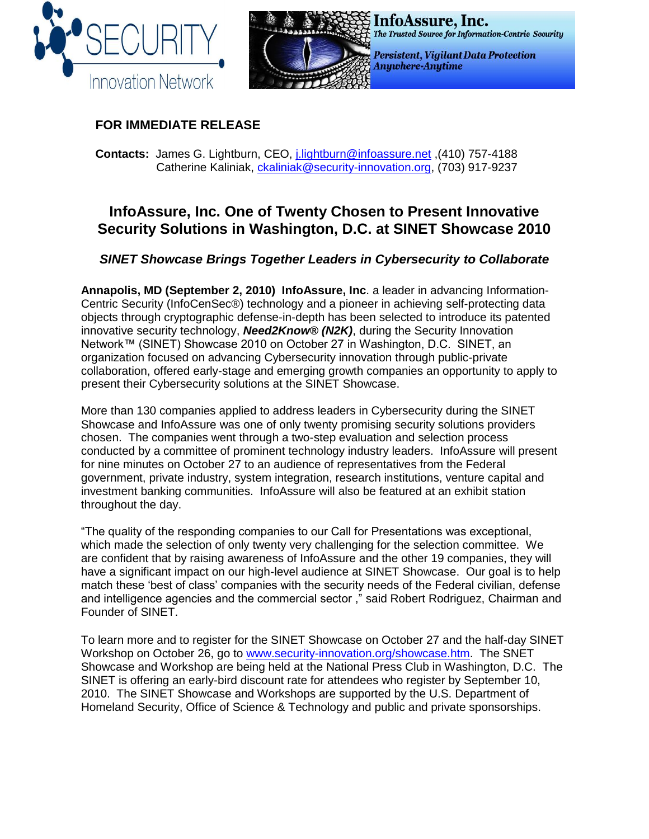



## **FOR IMMEDIATE RELEASE**

**Contacts:** James G. Lightburn, CEO, [j.lightburn@infoassure.net](mailto:j.lightburn@infoassure.net) ,(410) 757-4188 Catherine Kaliniak, [ckaliniak@security-innovation.org,](mailto:ckaliniak@security-innovation.org) (703) 917-9237

# **InfoAssure, Inc. One of Twenty Chosen to Present Innovative Security Solutions in Washington, D.C. at SINET Showcase 2010**

### *SINET Showcase Brings Together Leaders in Cybersecurity to Collaborate*

**Annapolis, MD (September 2, 2010) InfoAssure, Inc**. a leader in advancing Information-Centric Security (InfoCenSec®) technology and a pioneer in achieving self-protecting data objects through cryptographic defense-in-depth has been selected to introduce its patented innovative security technology, *Need2Know® (N2K)*, during the Security Innovation Network™ (SINET) Showcase 2010 on October 27 in Washington, D.C. SINET, an organization focused on advancing Cybersecurity innovation through public-private collaboration, offered early-stage and emerging growth companies an opportunity to apply to present their Cybersecurity solutions at the SINET Showcase.

More than 130 companies applied to address leaders in Cybersecurity during the SINET Showcase and InfoAssure was one of only twenty promising security solutions providers chosen. The companies went through a two-step evaluation and selection process conducted by a committee of prominent technology industry leaders. InfoAssure will present for nine minutes on October 27 to an audience of representatives from the Federal government, private industry, system integration, research institutions, venture capital and investment banking communities. InfoAssure will also be featured at an exhibit station throughout the day.

"The quality of the responding companies to our Call for Presentations was exceptional, which made the selection of only twenty very challenging for the selection committee. We are confident that by raising awareness of InfoAssure and the other 19 companies, they will have a significant impact on our high-level audience at SINET Showcase. Our goal is to help match these 'best of class' companies with the security needs of the Federal civilian, defense and intelligence agencies and the commercial sector ," said Robert Rodriguez, Chairman and Founder of SINET.

To learn more and to register for the SINET Showcase on October 27 and the half-day SINET Workshop on October 26, go to [www.security-innovation.org/showcase.htm.](http://www.security-innovation.org/showcase.htm) The SNET Showcase and Workshop are being held at the National Press Club in Washington, D.C. The SINET is offering an early-bird discount rate for attendees who register by September 10, 2010. The SINET Showcase and Workshops are supported by the U.S. Department of Homeland Security, Office of Science & Technology and public and private sponsorships.